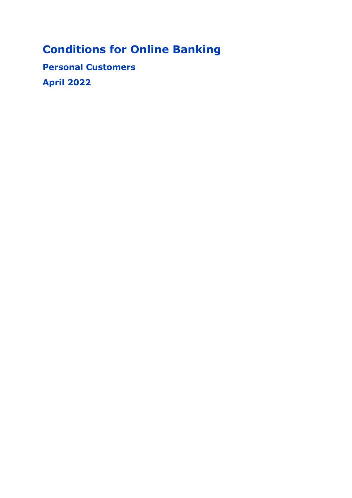# **Conditions for Online Banking**

**Personal Customers April 2022**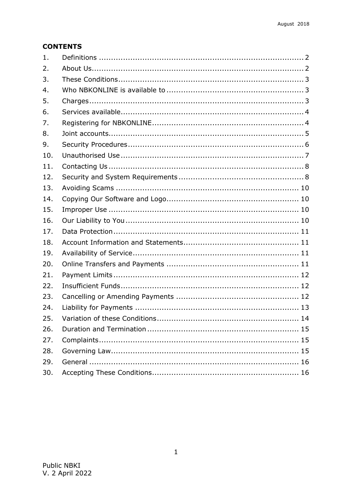# **CONTENTS**

| 1.  |  |
|-----|--|
| 2.  |  |
| 3.  |  |
| 4.  |  |
| 5.  |  |
| 6.  |  |
| 7.  |  |
| 8.  |  |
| 9.  |  |
| 10. |  |
| 11. |  |
| 12. |  |
| 13. |  |
| 14. |  |
| 15. |  |
| 16. |  |
| 17. |  |
| 18. |  |
| 19. |  |
| 20. |  |
| 21. |  |
| 22. |  |
| 23. |  |
| 24. |  |
| 25. |  |
| 26. |  |
| 27. |  |
| 28. |  |
| 29. |  |
| 30. |  |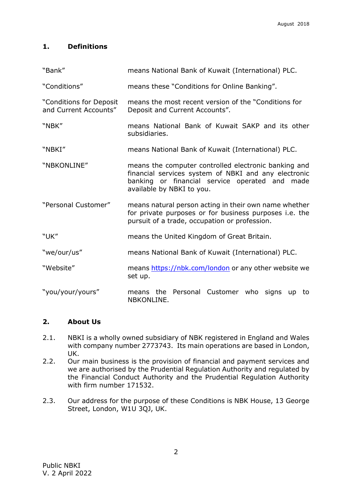# <span id="page-2-0"></span>**1. Definitions**

| "Bank"                                           | means National Bank of Kuwait (International) PLC.                                                                                                                                          |  |  |
|--------------------------------------------------|---------------------------------------------------------------------------------------------------------------------------------------------------------------------------------------------|--|--|
| "Conditions"                                     | means these "Conditions for Online Banking".                                                                                                                                                |  |  |
| "Conditions for Deposit<br>and Current Accounts" | means the most recent version of the "Conditions for<br>Deposit and Current Accounts".                                                                                                      |  |  |
| "NBK"                                            | means National Bank of Kuwait SAKP and its other<br>subsidiaries.                                                                                                                           |  |  |
| "NBKI"                                           | means National Bank of Kuwait (International) PLC.                                                                                                                                          |  |  |
| "NBKONLINE"                                      | means the computer controlled electronic banking and<br>financial services system of NBKI and any electronic<br>banking or financial service operated and made<br>available by NBKI to you. |  |  |
| "Personal Customer"                              | means natural person acting in their own name whether<br>for private purposes or for business purposes i.e. the<br>pursuit of a trade, occupation or profession.                            |  |  |
| "UK"                                             | means the United Kingdom of Great Britain.                                                                                                                                                  |  |  |
| "we/our/us"                                      | means National Bank of Kuwait (International) PLC.                                                                                                                                          |  |  |
| "Website"                                        | means https://nbk.com/london or any other website we<br>set up.                                                                                                                             |  |  |
| "you/your/yours"                                 | the Personal Customer who<br>signs<br>means<br><b>up</b><br>to<br>NBKONLINE.                                                                                                                |  |  |

## <span id="page-2-1"></span>**2. About Us**

- 2.1. NBKI is a wholly owned subsidiary of NBK registered in England and Wales with company number 2773743. Its main operations are based in London, UK.
- 2.2. Our main business is the provision of financial and payment services and we are authorised by the Prudential Regulation Authority and regulated by the Financial Conduct Authority and the Prudential Regulation Authority with firm number 171532.
- 2.3. Our address for the purpose of these Conditions is NBK House, 13 George Street, London, W1U 3QJ, UK.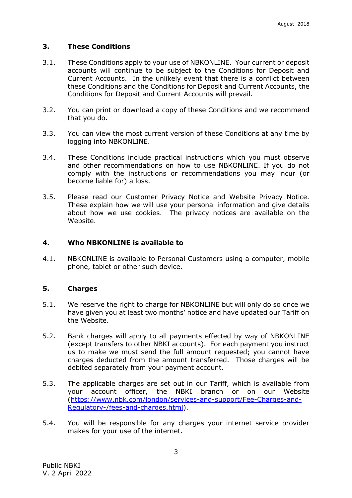## <span id="page-3-0"></span>**3. These Conditions**

- 3.1. These Conditions apply to your use of NBKONLINE. Your current or deposit accounts will continue to be subject to the Conditions for Deposit and Current Accounts. In the unlikely event that there is a conflict between these Conditions and the Conditions for Deposit and Current Accounts, the Conditions for Deposit and Current Accounts will prevail.
- 3.2. You can print or download a copy of these Conditions and we recommend that you do.
- 3.3. You can view the most current version of these Conditions at any time by logging into NBKONLINE.
- 3.4. These Conditions include practical instructions which you must observe and other recommendations on how to use NBKONLINE. If you do not comply with the instructions or recommendations you may incur (or become liable for) a loss.
- 3.5. Please read our Customer Privacy Notice and Website Privacy Notice. These explain how we will use your personal information and give details about how we use cookies. The privacy notices are available on the Website.

#### <span id="page-3-1"></span>**4. Who NBKONLINE is available to**

4.1. NBKONLINE is available to Personal Customers using a computer, mobile phone, tablet or other such device.

#### <span id="page-3-2"></span>**5. Charges**

- 5.1. We reserve the right to charge for NBKONLINE but will only do so once we have given you at least two months' notice and have updated our Tariff on the Website.
- 5.2. Bank charges will apply to all payments effected by way of NBKONLINE (except transfers to other NBKI accounts). For each payment you instruct us to make we must send the full amount requested; you cannot have charges deducted from the amount transferred. Those charges will be debited separately from your payment account.
- 5.3. The applicable charges are set out in our Tariff, which is available from your account officer, the NBKI branch or on our Website [\(https://www.nbk.com/london/services-and-support/Fee-Charges-and-](https://www.nbk.com/london/services-and-support/Fee-Charges-and-Regulatory-/fees-and-charges.html)[Regulatory-/fees-and-charges.html\)](https://www.nbk.com/london/services-and-support/Fee-Charges-and-Regulatory-/fees-and-charges.html).
- 5.4. You will be responsible for any charges your internet service provider makes for your use of the internet.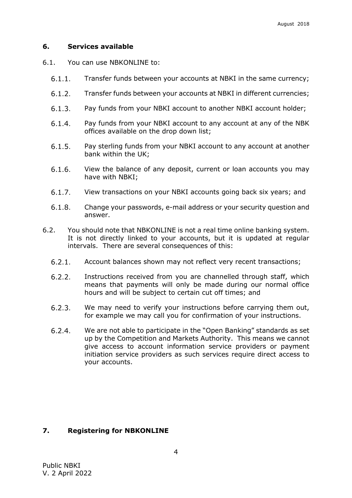#### <span id="page-4-0"></span>**6. Services available**

- 6.1. You can use NBKONLINE to:
	- $6.1.1$ Transfer funds between your accounts at NBKI in the same currency;
	- $6.1.2.$ Transfer funds between your accounts at NBKI in different currencies;
	- $6.1.3.$ Pay funds from your NBKI account to another NBKI account holder;
	- Pay funds from your NBKI account to any account at any of the NBK  $6.1.4$ offices available on the drop down list;
	- $6.1.5.$ Pay sterling funds from your NBKI account to any account at another bank within the UK;
	- $6.1.6.$ View the balance of any deposit, current or loan accounts you may have with NBKI;
	- $6.1.7$ View transactions on your NBKI accounts going back six years; and
	- $6.1.8$ Change your passwords, e-mail address or your security question and answer.
- 6.2. You should note that NBKONLINE is not a real time online banking system. It is not directly linked to your accounts, but it is updated at regular intervals. There are several consequences of this:
	- $6.2.1.$ Account balances shown may not reflect very recent transactions;
	- $6.2.2.$ Instructions received from you are channelled through staff, which means that payments will only be made during our normal office hours and will be subject to certain cut off times; and
	- $6.2.3.$ We may need to verify your instructions before carrying them out, for example we may call you for confirmation of your instructions.
	- $6.2.4$ We are not able to participate in the "Open Banking" standards as set up by the Competition and Markets Authority. This means we cannot give access to account information service providers or payment initiation service providers as such services require direct access to your accounts.

#### <span id="page-4-1"></span>**7. Registering for NBKONLINE**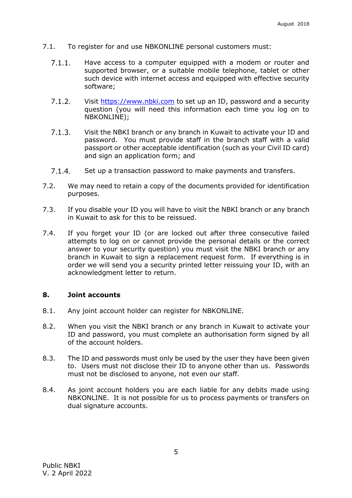- 7.1. To register for and use NBKONLINE personal customers must:
	- $7.1.1$ Have access to a computer equipped with a modem or router and supported browser, or a suitable mobile telephone, tablet or other such device with internet access and equipped with effective security software;
	- $7.1.2.$ Visit [https://www.nbki.com](https://www.nbki.com/) to set up an ID, password and a security question (you will need this information each time you log on to NBKONLINE);
	- $7.1.3$ Visit the NBKI branch or any branch in Kuwait to activate your ID and password. You must provide staff in the branch staff with a valid passport or other acceptable identification (such as your Civil ID card) and sign an application form; and
	- $7.1.4.$ Set up a transaction password to make payments and transfers.
- 7.2. We may need to retain a copy of the documents provided for identification purposes.
- 7.3. If you disable your ID you will have to visit the NBKI branch or any branch in Kuwait to ask for this to be reissued.
- 7.4. If you forget your ID (or are locked out after three consecutive failed attempts to log on or cannot provide the personal details or the correct answer to your security question) you must visit the NBKI branch or any branch in Kuwait to sign a replacement request form. If everything is in order we will send you a security printed letter reissuing your ID, with an acknowledgment letter to return.

## <span id="page-5-0"></span>**8. Joint accounts**

- 8.1. Any joint account holder can register for NBKONLINE.
- 8.2. When you visit the NBKI branch or any branch in Kuwait to activate your ID and password, you must complete an authorisation form signed by all of the account holders.
- 8.3. The ID and passwords must only be used by the user they have been given to. Users must not disclose their ID to anyone other than us. Passwords must not be disclosed to anyone, not even our staff.
- 8.4. As joint account holders you are each liable for any debits made using NBKONLINE. It is not possible for us to process payments or transfers on dual signature accounts.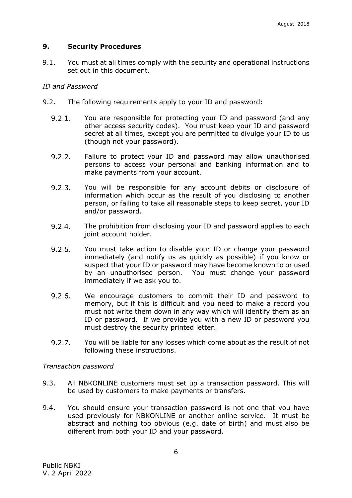## <span id="page-6-0"></span>**9. Security Procedures**

9.1. You must at all times comply with the security and operational instructions set out in this document.

## *ID and Password*

- 9.2. The following requirements apply to your ID and password:
	- $9.2.1.$ You are responsible for protecting your ID and password (and any other access security codes). You must keep your ID and password secret at all times, except you are permitted to divulge your ID to us (though not your password).
	- $9.2.2.$ Failure to protect your ID and password may allow unauthorised persons to access your personal and banking information and to make payments from your account.
	- $9.2.3.$ You will be responsible for any account debits or disclosure of information which occur as the result of you disclosing to another person, or failing to take all reasonable steps to keep secret, your ID and/or password.
	- $9.2.4.$ The prohibition from disclosing your ID and password applies to each joint account holder.
	- $9.2.5.$ You must take action to disable your ID or change your password immediately (and notify us as quickly as possible) if you know or suspect that your ID or password may have become known to or used by an unauthorised person. You must change your password immediately if we ask you to.
	- $9.2.6$ We encourage customers to commit their ID and password to memory, but if this is difficult and you need to make a record you must not write them down in any way which will identify them as an ID or password. If we provide you with a new ID or password you must destroy the security printed letter.
	- $9.2.7$ You will be liable for any losses which come about as the result of not following these instructions.

#### *Transaction password*

- 9.3. All NBKONLINE customers must set up a transaction password. This will be used by customers to make payments or transfers.
- 9.4. You should ensure your transaction password is not one that you have used previously for NBKONLINE or another online service. It must be abstract and nothing too obvious (e.g. date of birth) and must also be different from both your ID and your password.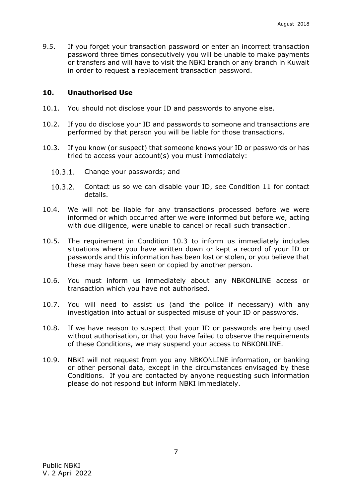9.5. If you forget your transaction password or enter an incorrect transaction password three times consecutively you will be unable to make payments or transfers and will have to visit the NBKI branch or any branch in Kuwait in order to request a replacement transaction password.

#### <span id="page-7-0"></span>**10. Unauthorised Use**

- 10.1. You should not disclose your ID and passwords to anyone else.
- 10.2. If you do disclose your ID and passwords to someone and transactions are performed by that person you will be liable for those transactions.
- 10.3. If you know (or suspect) that someone knows your ID or passwords or has tried to access your account(s) you must immediately:
	- $10.3.1$ Change your passwords; and
	- $10.3.2$ Contact us so we can disable your ID, see Condition 11 for contact details.
- 10.4. We will not be liable for any transactions processed before we were informed or which occurred after we were informed but before we, acting with due diligence, were unable to cancel or recall such transaction.
- 10.5. The requirement in Condition 10.3 to inform us immediately includes situations where you have written down or kept a record of your ID or passwords and this information has been lost or stolen, or you believe that these may have been seen or copied by another person.
- 10.6. You must inform us immediately about any NBKONLINE access or transaction which you have not authorised.
- 10.7. You will need to assist us (and the police if necessary) with any investigation into actual or suspected misuse of your ID or passwords.
- 10.8. If we have reason to suspect that your ID or passwords are being used without authorisation, or that you have failed to observe the requirements of these Conditions, we may suspend your access to NBKONLINE.
- 10.9. NBKI will not request from you any NBKONLINE information, or banking or other personal data, except in the circumstances envisaged by these Conditions. If you are contacted by anyone requesting such information please do not respond but inform NBKI immediately.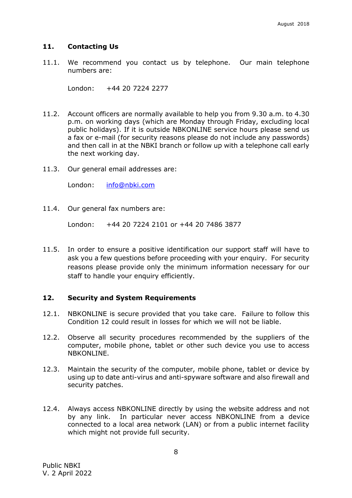## <span id="page-8-0"></span>**11. Contacting Us**

11.1. We recommend you contact us by telephone. Our main telephone numbers are:

London: +44 20 7224 2277

- 11.2. Account officers are normally available to help you from 9.30 a.m. to 4.30 p.m. on working days (which are Monday through Friday, excluding local public holidays). If it is outside NBKONLINE service hours please send us a fax or e-mail (for security reasons please do not include any passwords) and then call in at the NBKI branch or follow up with a telephone call early the next working day.
- 11.3. Our general email addresses are:

London: [info@nbki.com](mailto:info@nbki.com)

11.4. Our general fax numbers are:

London: +44 20 7224 2101 or +44 20 7486 3877

11.5. In order to ensure a positive identification our support staff will have to ask you a few questions before proceeding with your enquiry. For security reasons please provide only the minimum information necessary for our staff to handle your enquiry efficiently.

## <span id="page-8-1"></span>**12. Security and System Requirements**

- 12.1. NBKONLINE is secure provided that you take care. Failure to follow this Condition 12 could result in losses for which we will not be liable.
- 12.2. Observe all security procedures recommended by the suppliers of the computer, mobile phone, tablet or other such device you use to access NBKONLINE.
- 12.3. Maintain the security of the computer, mobile phone, tablet or device by using up to date anti-virus and anti-spyware software and also firewall and security patches.
- 12.4. Always access NBKONLINE directly by using the website address and not by any link. In particular never access NBKONLINE from a device connected to a local area network (LAN) or from a public internet facility which might not provide full security.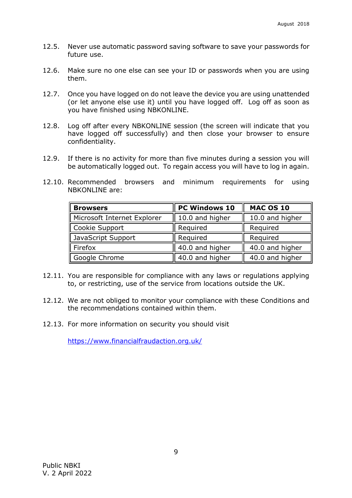- 12.5. Never use automatic password saving software to save your passwords for future use.
- 12.6. Make sure no one else can see your ID or passwords when you are using them.
- 12.7. Once you have logged on do not leave the device you are using unattended (or let anyone else use it) until you have logged off. Log off as soon as you have finished using NBKONLINE.
- 12.8. Log off after every NBKONLINE session (the screen will indicate that you have logged off successfully) and then close your browser to ensure confidentiality.
- 12.9. If there is no activity for more than five minutes during a session you will be automatically logged out. To regain access you will have to log in again.
- 12.10. Recommended browsers and minimum requirements for using NBKONLINE are:

| <b>Browsers</b>             | PC Windows 10   | <b>MAC OS 10</b> |
|-----------------------------|-----------------|------------------|
| Microsoft Internet Explorer | 10.0 and higher | 10.0 and higher  |
| Cookie Support              | Required        | Required         |
| JavaScript Support          | Required        | Required         |
| Firefox                     | 40.0 and higher | 40.0 and higher  |
| Google Chrome               | 40.0 and higher | 40.0 and higher  |

- 12.11. You are responsible for compliance with any laws or regulations applying to, or restricting, use of the service from locations outside the UK.
- 12.12. We are not obliged to monitor your compliance with these Conditions and the recommendations contained within them.
- 12.13. For more information on security you should visit

<https://www.financialfraudaction.org.uk/>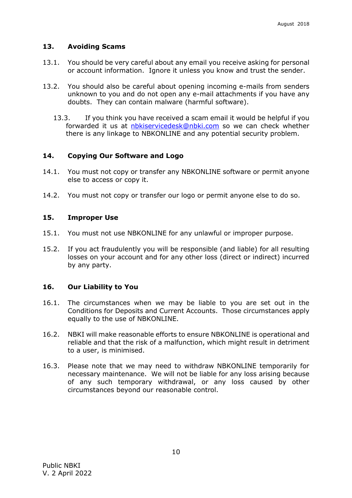## <span id="page-10-0"></span>**13. Avoiding Scams**

- 13.1. You should be very careful about any email you receive asking for personal or account information. Ignore it unless you know and trust the sender.
- 13.2. You should also be careful about opening incoming e-mails from senders unknown to you and do not open any e-mail attachments if you have any doubts. They can contain malware (harmful software).
	- 13.3. If you think you have received a scam email it would be helpful if you forwarded it us at [nbkiservicedesk@nbki.com](mailto:nbkiservicedesk@nbki.com) so we can check whether there is any linkage to NBKONLINE and any potential security problem.

#### <span id="page-10-1"></span>**14. Copying Our Software and Logo**

- 14.1. You must not copy or transfer any NBKONLINE software or permit anyone else to access or copy it.
- <span id="page-10-2"></span>14.2. You must not copy or transfer our logo or permit anyone else to do so.

#### **15. Improper Use**

- 15.1. You must not use NBKONLINE for any unlawful or improper purpose.
- 15.2. If you act fraudulently you will be responsible (and liable) for all resulting losses on your account and for any other loss (direct or indirect) incurred by any party.

#### <span id="page-10-3"></span>**16. Our Liability to You**

- 16.1. The circumstances when we may be liable to you are set out in the Conditions for Deposits and Current Accounts. Those circumstances apply equally to the use of NBKONLINE.
- 16.2. NBKI will make reasonable efforts to ensure NBKONLINE is operational and reliable and that the risk of a malfunction, which might result in detriment to a user, is minimised.
- 16.3. Please note that we may need to withdraw NBKONLINE temporarily for necessary maintenance. We will not be liable for any loss arising because of any such temporary withdrawal, or any loss caused by other circumstances beyond our reasonable control.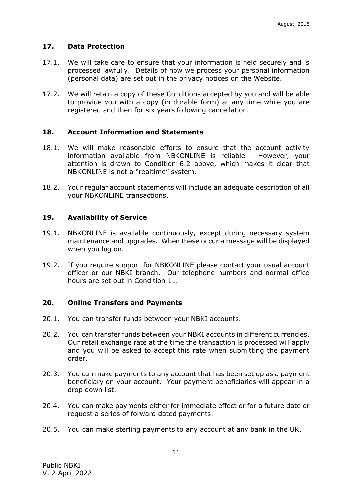## <span id="page-11-0"></span>**17. Data Protection**

- 17.1. We will take care to ensure that your information is held securely and is processed lawfully. Details of how we process your personal information (personal data) are set out in the privacy notices on the Website.
- 17.2. We will retain a copy of these Conditions accepted by you and will be able to provide you with a copy (in durable form) at any time while you are registered and then for six years following cancellation.

#### <span id="page-11-1"></span>**18. Account Information and Statements**

- 18.1. We will make reasonable efforts to ensure that the account activity information available from NBKONLINE is reliable. However, your attention is drawn to Condition 6.2 above, which makes it clear that NBKONLINE is not a "realtime" system.
- 18.2. Your regular account statements will include an adequate description of all your NBKONLINE transactions.

#### <span id="page-11-2"></span>**19. Availability of Service**

- 19.1. NBKONLINE is available continuously, except during necessary system maintenance and upgrades. When these occur a message will be displayed when you log on.
- 19.2. If you require support for NBKONLINE please contact your usual account officer or our NBKI branch. Our telephone numbers and normal office hours are set out in Condition 11.

#### <span id="page-11-3"></span>**20. Online Transfers and Payments**

- 20.1. You can transfer funds between your NBKI accounts.
- 20.2. You can transfer funds between your NBKI accounts in different currencies. Our retail exchange rate at the time the transaction is processed will apply and you will be asked to accept this rate when submitting the payment order.
- 20.3. You can make payments to any account that has been set up as a payment beneficiary on your account. Your payment beneficiaries will appear in a drop down list.
- 20.4. You can make payments either for immediate effect or for a future date or request a series of forward dated payments.
- 20.5. You can make sterling payments to any account at any bank in the UK.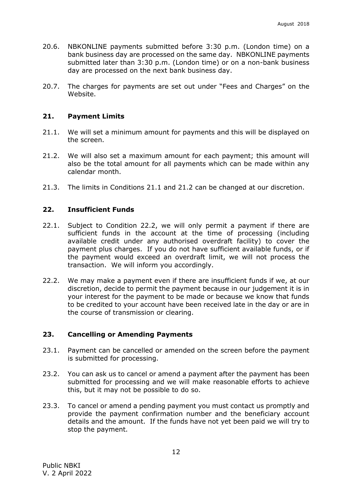- 20.6. NBKONLINE payments submitted before 3:30 p.m. (London time) on a bank business day are processed on the same day. NBKONLINE payments submitted later than 3:30 p.m. (London time) or on a non-bank business day are processed on the next bank business day.
- 20.7. The charges for payments are set out under "Fees and Charges" on the Website.

#### <span id="page-12-0"></span>**21. Payment Limits**

- 21.1. We will set a minimum amount for payments and this will be displayed on the screen.
- 21.2. We will also set a maximum amount for each payment; this amount will also be the total amount for all payments which can be made within any calendar month.
- <span id="page-12-1"></span>21.3. The limits in Conditions 21.1 and 21.2 can be changed at our discretion.

#### **22. Insufficient Funds**

- 22.1. Subject to Condition 22.2, we will only permit a payment if there are sufficient funds in the account at the time of processing (including available credit under any authorised overdraft facility) to cover the payment plus charges. If you do not have sufficient available funds, or if the payment would exceed an overdraft limit, we will not process the transaction. We will inform you accordingly.
- 22.2. We may make a payment even if there are insufficient funds if we, at our discretion, decide to permit the payment because in our judgement it is in your interest for the payment to be made or because we know that funds to be credited to your account have been received late in the day or are in the course of transmission or clearing.

#### <span id="page-12-2"></span>**23. Cancelling or Amending Payments**

- 23.1. Payment can be cancelled or amended on the screen before the payment is submitted for processing.
- 23.2. You can ask us to cancel or amend a payment after the payment has been submitted for processing and we will make reasonable efforts to achieve this, but it may not be possible to do so.
- 23.3. To cancel or amend a pending payment you must contact us promptly and provide the payment confirmation number and the beneficiary account details and the amount. If the funds have not yet been paid we will try to stop the payment.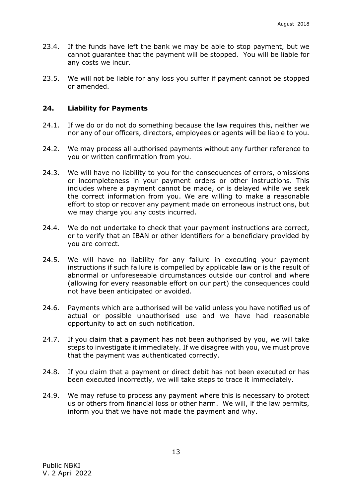- 23.4. If the funds have left the bank we may be able to stop payment, but we cannot guarantee that the payment will be stopped. You will be liable for any costs we incur.
- 23.5. We will not be liable for any loss you suffer if payment cannot be stopped or amended.

## <span id="page-13-0"></span>**24. Liability for Payments**

- 24.1. If we do or do not do something because the law requires this, neither we nor any of our officers, directors, employees or agents will be liable to you.
- 24.2. We may process all authorised payments without any further reference to you or written confirmation from you.
- 24.3. We will have no liability to you for the consequences of errors, omissions or incompleteness in your payment orders or other instructions. This includes where a payment cannot be made, or is delayed while we seek the correct information from you. We are willing to make a reasonable effort to stop or recover any payment made on erroneous instructions, but we may charge you any costs incurred.
- 24.4. We do not undertake to check that your payment instructions are correct, or to verify that an IBAN or other identifiers for a beneficiary provided by you are correct.
- 24.5. We will have no liability for any failure in executing your payment instructions if such failure is compelled by applicable law or is the result of abnormal or unforeseeable circumstances outside our control and where (allowing for every reasonable effort on our part) the consequences could not have been anticipated or avoided.
- 24.6. Payments which are authorised will be valid unless you have notified us of actual or possible unauthorised use and we have had reasonable opportunity to act on such notification.
- 24.7. If you claim that a payment has not been authorised by you, we will take steps to investigate it immediately. If we disagree with you, we must prove that the payment was authenticated correctly.
- 24.8. If you claim that a payment or direct debit has not been executed or has been executed incorrectly, we will take steps to trace it immediately.
- 24.9. We may refuse to process any payment where this is necessary to protect us or others from financial loss or other harm. We will, if the law permits, inform you that we have not made the payment and why.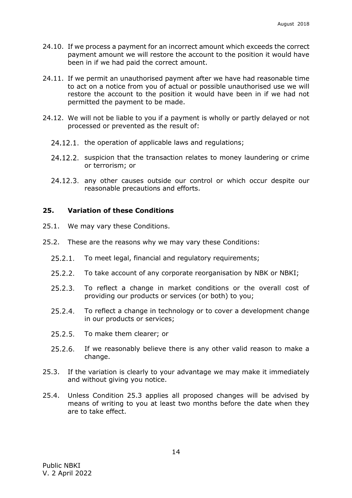- 24.10. If we process a payment for an incorrect amount which exceeds the correct payment amount we will restore the account to the position it would have been in if we had paid the correct amount.
- 24.11. If we permit an unauthorised payment after we have had reasonable time to act on a notice from you of actual or possible unauthorised use we will restore the account to the position it would have been in if we had not permitted the payment to be made.
- 24.12. We will not be liable to you if a payment is wholly or partly delayed or not processed or prevented as the result of:
	- 24.12.1. the operation of applicable laws and regulations;
	- 24.12.2. suspicion that the transaction relates to money laundering or crime or terrorism; or
	- 24.12.3. any other causes outside our control or which occur despite our reasonable precautions and efforts.

## <span id="page-14-0"></span>**25. Variation of these Conditions**

- 25.1. We may vary these Conditions.
- 25.2. These are the reasons why we may vary these Conditions:
	- $25.2.1$ To meet legal, financial and regulatory requirements;
	- $25.2.2.$ To take account of any corporate reorganisation by NBK or NBKI;
	- $25.2.3$ To reflect a change in market conditions or the overall cost of providing our products or services (or both) to you;
	- $25.2.4$ To reflect a change in technology or to cover a development change in our products or services;
	- $25.2.5$ To make them clearer; or
	- $25.2.6$ If we reasonably believe there is any other valid reason to make a change.
- 25.3. If the variation is clearly to your advantage we may make it immediately and without giving you notice.
- 25.4. Unless Condition 25.3 applies all proposed changes will be advised by means of writing to you at least two months before the date when they are to take effect.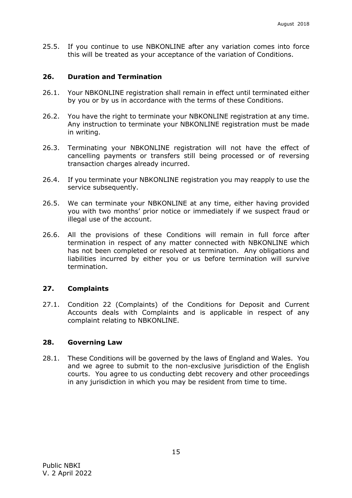25.5. If you continue to use NBKONLINE after any variation comes into force this will be treated as your acceptance of the variation of Conditions.

## <span id="page-15-0"></span>**26. Duration and Termination**

- 26.1. Your NBKONLINE registration shall remain in effect until terminated either by you or by us in accordance with the terms of these Conditions.
- 26.2. You have the right to terminate your NBKONLINE registration at any time. Any instruction to terminate your NBKONLINE registration must be made in writing.
- 26.3. Terminating your NBKONLINE registration will not have the effect of cancelling payments or transfers still being processed or of reversing transaction charges already incurred.
- 26.4. If you terminate your NBKONLINE registration you may reapply to use the service subsequently.
- 26.5. We can terminate your NBKONLINE at any time, either having provided you with two months' prior notice or immediately if we suspect fraud or illegal use of the account.
- 26.6. All the provisions of these Conditions will remain in full force after termination in respect of any matter connected with NBKONLINE which has not been completed or resolved at termination. Any obligations and liabilities incurred by either you or us before termination will survive termination.

## <span id="page-15-1"></span>**27. Complaints**

27.1. Condition 22 (Complaints) of the Conditions for Deposit and Current Accounts deals with Complaints and is applicable in respect of any complaint relating to NBKONLINE.

#### <span id="page-15-2"></span>**28. Governing Law**

28.1. These Conditions will be governed by the laws of England and Wales. You and we agree to submit to the non-exclusive jurisdiction of the English courts. You agree to us conducting debt recovery and other proceedings in any jurisdiction in which you may be resident from time to time.